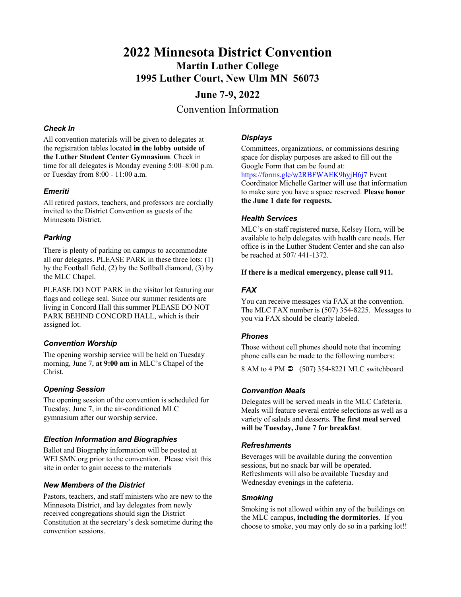# **2022 Minnesota District Convention Martin Luther College 1995 Luther Court, New Ulm MN 56073**

# **June 7-9, 2022** Convention Information

## *Check In*

All convention materials will be given to delegates at the registration tables located **in the lobby outside of the Luther Student Center Gymnasium**. Check in time for all delegates is Monday evening 5:00–8:00 p.m. or Tuesday from 8:00 - 11:00 a.m.

## *Emeriti*

All retired pastors, teachers, and professors are cordially invited to the District Convention as guests of the Minnesota District.

# *Parking*

There is plenty of parking on campus to accommodate all our delegates. PLEASE PARK in these three lots: (1) by the Football field, (2) by the Softball diamond, (3) by the MLC Chapel.

PLEASE DO NOT PARK in the visitor lot featuring our flags and college seal. Since our summer residents are living in Concord Hall this summer PLEASE DO NOT PARK BEHIND CONCORD HALL, which is their assigned lot.

# *Convention Worship*

The opening worship service will be held on Tuesday morning, June 7, **at 9:00 am** in MLC's Chapel of the Christ.

#### *Opening Session*

The opening session of the convention is scheduled for Tuesday, June 7, in the air-conditioned MLC gymnasium after our worship service.

# *Election Information and Biographies*

Ballot and Biography information will be posted at WELSMN.org prior to the convention. Please visit this site in order to gain access to the materials

# *New Members of the District*

Pastors, teachers, and staff ministers who are new to the Minnesota District, and lay delegates from newly received congregations should sign the District Constitution at the secretary's desk sometime during the convention sessions.

## *Displays*

Committees, organizations, or commissions desiring space for display purposes are asked to fill out the Google Form that can be found at: https://forms.gle/w2RBFWAEK9hyjH6j7 Event Coordinator Michelle Gartner will use that information to make sure you have a space reserved. **Please honor the June 1 date for requests.**

## *Health Services*

MLC's on-staff registered nurse, Kelsey Horn, will be available to help delegates with health care needs. Her office is in the Luther Student Center and she can also be reached at 507/ 441-1372.

#### **If there is a medical emergency, please call 911.**

# *FAX*

You can receive messages via FAX at the convention. The MLC FAX number is (507) 354-8225. Messages to you via FAX should be clearly labeled.

# *Phones*

Those without cell phones should note that incoming phone calls can be made to the following numbers:

8 AM to 4 PM  $\bigcirc$  (507) 354-8221 MLC switchboard

# *Convention Meals*

Delegates will be served meals in the MLC Cafeteria. Meals will feature several entrée selections as well as a variety of salads and desserts. **The first meal served will be Tuesday, June 7 for breakfast**.

# *Refreshments*

Beverages will be available during the convention sessions, but no snack bar will be operated. Refreshments will also be available Tuesday and Wednesday evenings in the cafeteria.

# *Smoking*

Smoking is not allowed within any of the buildings on the MLC campus**, including the dormitories**. If you choose to smoke, you may only do so in a parking lot!!